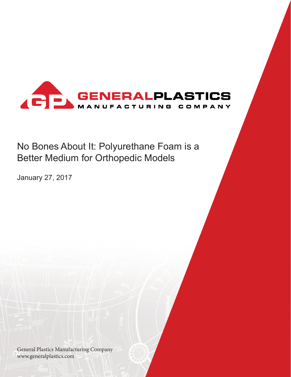

# No Bones About It: Polyurethane Foam is a Better Medium for Orthopedic Models

January 27, 2017

General Plastics Manufacturing Company www.generalplastics.com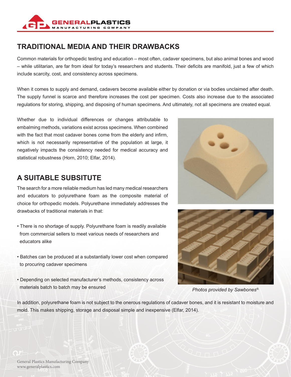

## **TRADITIONAL MEDIA AND THEIR DRAWBACKS**

Common materials for orthopedic testing and education – most often, cadaver specimens, but also animal bones and wood – while utilitarian, are far from ideal for today's researchers and students. Their deficits are manifold, just a few of which include scarcity, cost, and consistency across specimens.

When it comes to supply and demand, cadavers become available either by donation or via bodies unclaimed after death. The supply funnel is scarce and therefore increases the cost per specimen. Costs also increase due to the associated regulations for storing, shipping, and disposing of human specimens. And ultimately, not all specimens are created equal.

Whether due to individual differences or changes attributable to embalming methods, variations exist across specimens. When combined with the fact that most cadaver bones come from the elderly and infirm, which is not necessarily representative of the population at large, it negatively impacts the consistency needed for medical accuracy and statistical robustness (Horn, 2010; Elfar, 2014).

### **A SUITABLE SUBSITUTE**

The search for a more reliable medium has led many medical researchers and educators to polyurethane foam as the composite material of choice for orthopedic models. Polyurethane immediately addresses the drawbacks of traditional materials in that:

- There is no shortage of supply. Polyurethane foam is readily available from commercial sellers to meet various needs of researchers and educators alike
- Batches can be produced at a substantially lower cost when compared to procuring cadaver specimens
- Depending on selected manufacturer's methods, consistency across materials batch to batch may be ensured





*Photos provided by Sawbones®.*

In addition, polyurethane foam is not subject to the onerous regulations of cadaver bones, and it is resistant to moisture and mold. This makes shipping, storage and disposal simple and inexpensive (Elfar, 2014).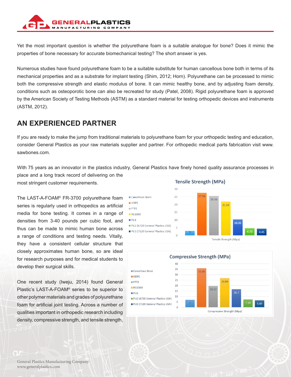

Yet the most important question is whether the polyurethane foam is a suitable analogue for bone? Does it mimic the properties of bone necessary for accurate biomechanical testing? The short answer is yes.

Numerous studies have found polyurethane foam to be a suitable substitute for human cancellous bone both in terms of its mechanical properties and as a substrate for implant testing (Shim, 2012; Horn). Polyurethane can be processed to mimic both the compressive strength and elastic modulus of bone. It can mimic healthy bone, and by adjusting foam density, conditions such as osteoporotic bone can also be recreated for study (Patel, 2008). Rigid polyurethane foam is approved by the American Society of Testing Methods (ASTM) as a standard material for testing orthopedic devices and instruments (ASTM, 2012).

### **AN EXPERIENCED PARTNER**

If you are ready to make the jump from traditional materials to polyurethane foam for your orthopedic testing and education, consider General Plastics as your raw materials supplier and partner. For orthopedic medical parts fabrication visit www. sawbones.com.

With 75 years as an innovator in the plastics industry, General Plastics have finely honed quality assurance processes in place and a long track record of delivering on the

most stringent customer requirements.

The LAST-A-FOAM® FR-3700 polyurethane foam series is regularly used in orthopedics as artificial media for bone testing. It comes in a range of densities from 3-40 pounds per cubic foot, and thus can be made to mimic human bone across a range of conditions and testing needs. Vitally, they have a consistent cellular structure that closely approximates human bone, so are ideal for research purposes and for medical students to develop their surgical skills.

One recent study (Iweju, 2014) found General Plastic's LAST-A-FOAM® series to be superior to other polymer materials and grades of polyurethane foam for artificial joint testing. Across a number of qualities important in orthopedic research including density, compressive strength, and tensile strength,

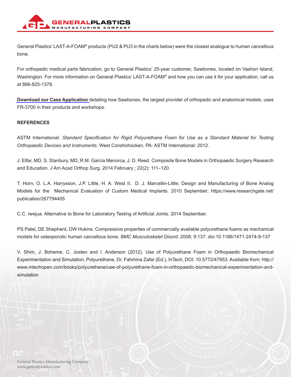

General Plastics' LAST-A-FOAM® products (PU2 & PU3 in the charts below) were the closest analogue to human cancellous bone.

For orthopedic medical parts fabrication, go to General Plastics' 25-year customer, Sawbones, located on Vashon Island, Washington. For more information on General Plastics' LAST-A-FOAM<sup>®</sup> and how you can use it for your application, call us at 866-825-1378.

**[Download our Case Application](https://www.generalplastics.com/case-applications/pu-foam-orthopedic-models)** detailing how Sawbones, the largest provider of orthopedic and anatomical models, uses FR-3700 in their products and workshops.

#### **REFERENCES**

ASTM International. *Standard Specification for Rigid Polyurethane Foam for Use as a Standard Material for Testing Orthopaedic Devices and Instruments.* West Conshohocken, PA: ASTM International; 2012.

J. Elfar, MD, S. Stanbury, MD, R.M. Garcia Menorca, J. D. Reed. Composite Bone Models in Orthopaedic Surgery Research and Education. J Am Acad Orthop Surg. 2014 February ; 22(2): 111–120.

T. Horn, O. L.A. Harrysson, J.P. Little, H. A. West II, D. J. Marcellin-Little; Design and Manufacturing of Bone Analog Models for the Mechanical Evaluation of Custom Medical Implants. 2010 September; https://www.researchgate.net/ publication/267794405

C.C. Iwejua. Alternative to Bone for Laboratory Testing of Artificial Joints. 2014 September.

PS Patel, DE Shepherd, DW Hukins. Compressive properties of commercially available polyurethane foams as mechanical models for osteoporotic human cancellous bone. *BMC Musculoskelet Disord.* 2008; 9:137. doi:10.1186/1471-2474-9-137

V. Shim, J. Boheme, C. Josten and I. Anderson (2012). Use of Polyurethane Foam in Orthopaedic Biomechanical Experimentation and Simulation, Polyurethane, Dr. Fahmina Zafar (Ed.), InTech, DOI: 10.5772/47953. Available from: http:// www.intechopen.com/books/polyurethane/use-of-polyurethane-foam-in-orthopaedic-biomechanical-experimentation-andsimulation